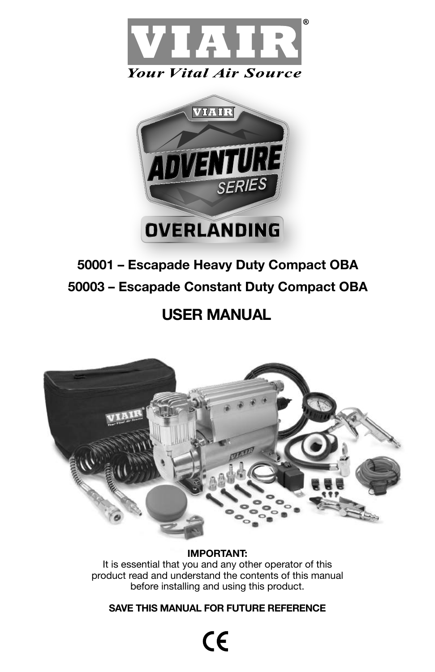



# **50001 – Escapade Heavy Duty Compact OBA 50003 – Escapade Constant Duty Compact OBA**

# **USER MANUAL**



# **IMPORTANT:**

It is essential that you and any other operator of this product read and understand the contents of this manual before installing and using this product.

# **SAVE THIS MANUAL FOR FUTURE REFERENCE**

 $\mathsf{CE}$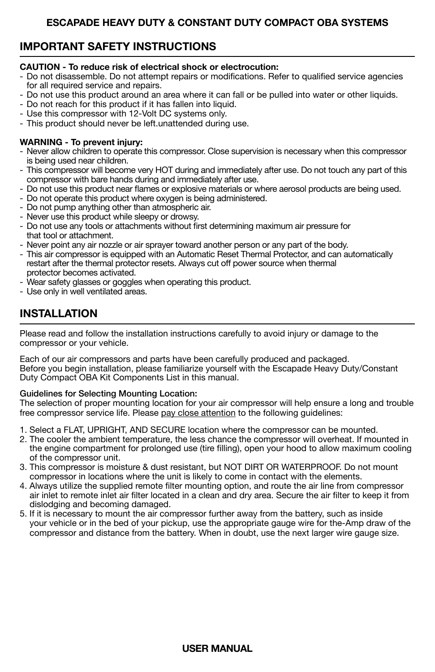# **IMPORTANT SAFETY INSTRUCTIONS**

### **CAUTION - To reduce risk of electrical shock or electrocution:**

- Do not disassemble. Do not attempt repairs or modifications. Refer to qualified service agencies for all required service and repairs.
- Do not use this product around an area where it can fall or be pulled into water or other liquids.
- Do not reach for this product if it has fallen into liquid.
- Use this compressor with 12-Volt DC systems only.
- This product should never be left.unattended during use.

### **WARNING - To prevent injury:**

- Never allow children to operate this compressor. Close supervision is necessary when this compressor is being used near children.
- This compressor will become very HOT during and immediately after use. Do not touch any part of this compressor with bare hands during and immediately after use.
- Do not use this product near flames or explosive materials or where aerosol products are being used.
- Do not operate this product where oxygen is being administered.
- Do not pump anything other than atmospheric air.
- Never use this product while sleepy or drowsy.
- Do not use any tools or attachments without first determining maximum air pressure for that tool or attachment.
- Never point any air nozzle or air sprayer toward another person or any part of the body.
- This air compressor is equipped with an Automatic Reset Thermal Protector, and can automatically restart after the thermal protector resets. Always cut off power source when thermal protector becomes activated.
- Wear safety glasses or goggles when operating this product.
- Use only in well ventilated areas.

# **INSTALLATION**

Please read and follow the installation instructions carefully to avoid injury or damage to the compressor or your vehicle.

Each of our air compressors and parts have been carefully produced and packaged. Before you begin installation, please familiarize yourself with the Escapade Heavy Duty/Constant Duty Compact OBA Kit Components List in this manual.

### Guidelines for Selecting Mounting Location:

The selection of proper mounting location for your air compressor will help ensure a long and trouble free compressor service life. Please pay close attention to the following guidelines:

- 1. Select a FLAT, UPRIGHT, AND SECURE location where the compressor can be mounted.
- 2. The cooler the ambient temperature, the less chance the compressor will overheat. If mounted in the engine compartment for prolonged use (tire filling), open your hood to allow maximum cooling of the compressor unit.
- 3. This compressor is moisture & dust resistant, but NOT DIRT OR WATERPROOF. Do not mount compressor in locations where the unit is likely to come in contact with the elements.
- 4. Always utilize the supplied remote filter mounting option, and route the air line from compressor air inlet to remote inlet air filter located in a clean and dry area. Secure the air filter to keep it from dislodging and becoming damaged.
- 5. If it is necessary to mount the air compressor further away from the battery, such as inside your vehicle or in the bed of your pickup, use the appropriate gauge wire for the-Amp draw of the compressor and distance from the battery. When in doubt, use the next larger wire gauge size.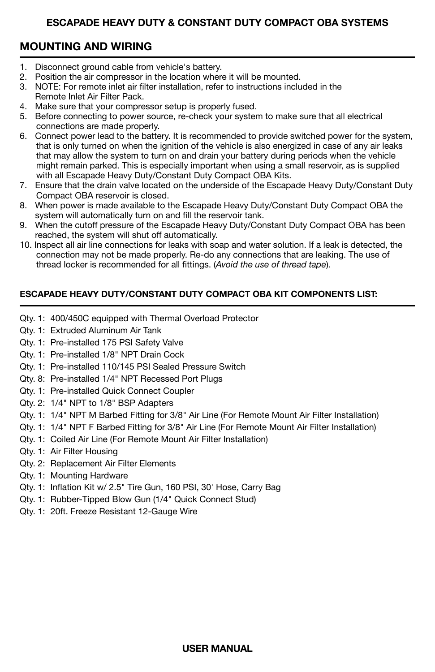# **MOUNTING AND WIRING**

- 1. Disconnect ground cable from vehicle's battery.<br>2. Position the air compressor in the location where
- 2. Position the air compressor in the location where it will be mounted.
- 3. NOTE: For remote inlet air filter installation, refer to instructions included in the Remote Inlet Air Filter Pack.
- 4. Make sure that your compressor setup is properly fused.
- 5. Before connecting to power source, re-check your system to make sure that all electrical connections are made properly.
- 6. Connect power lead to the battery. It is recommended to provide switched power for the system, that is only turned on when the ignition of the vehicle is also energized in case of any air leaks that may allow the system to turn on and drain your battery during periods when the vehicle might remain parked. This is especially important when using a small reservoir, as is supplied with all Escapade Heavy Duty/Constant Duty Compact OBA Kits.
- 7. Ensure that the drain valve located on the underside of the Escapade Heavy Duty/Constant Duty Compact OBA reservoir is closed.
- 8. When power is made available to the Escapade Heavy Duty/Constant Duty Compact OBA the system will automatically turn on and fill the reservoir tank.
- 9. When the cutoff pressure of the Escapade Heavy Duty/Constant Duty Compact OBA has been reached, the system will shut off automatically.
- 10. Inspect all air line connections for leaks with soap and water solution. If a leak is detected, the connection may not be made properly. Re-do any connections that are leaking. The use of thread locker is recommended for all fittings. (*Avoid the use of thread tape*).

# **ESCAPADE HEAVY DUTY/CONSTANT DUTY COMPACT OBA KIT COMPONENTS LIST:**

- Qty. 1: 400/450C equipped with Thermal Overload Protector
- Qty. 1: Extruded Aluminum Air Tank
- Qty. 1: Pre-installed 175 PSI Safety Valve
- Qty. 1: Pre-installed 1/8" NPT Drain Cock
- Qty. 1: Pre-installed 110/145 PSI Sealed Pressure Switch
- Qty. 8: Pre-installed 1/4" NPT Recessed Port Plugs
- Qty. 1: Pre-installed Quick Connect Coupler
- Qty. 2: 1/4" NPT to 1/8" BSP Adapters
- Qty. 1: 1/4" NPT M Barbed Fitting for 3/8" Air Line (For Remote Mount Air Filter Installation)
- Qty. 1: 1/4" NPT F Barbed Fitting for 3/8" Air Line (For Remote Mount Air Filter Installation)
- Qty. 1: Coiled Air Line (For Remote Mount Air Filter Installation)
- Qty. 1: Air Filter Housing
- Qty. 2: Replacement Air Filter Elements
- Qty. 1: Mounting Hardware
- Qty. 1: Inflation Kit w/ 2.5" Tire Gun, 160 PSI, 30' Hose, Carry Bag
- Qty. 1: Rubber-Tipped Blow Gun (1/4" Quick Connect Stud)
- Qty. 1: 20ft. Freeze Resistant 12-Gauge Wire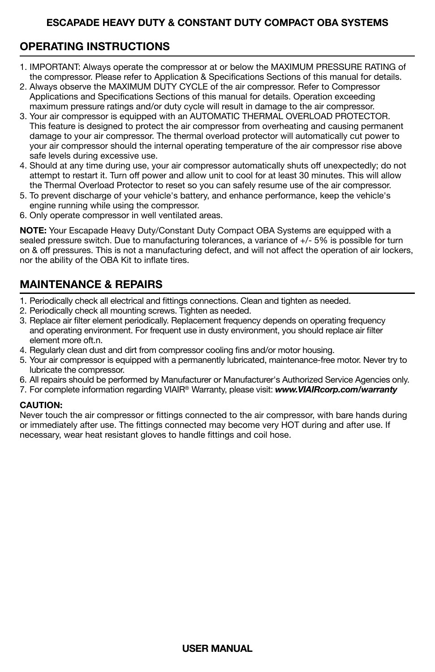# **OPERATING INSTRUCTIONS**

- 1. IMPORTANT: Always operate the compressor at or below the MAXIMUM PRESSURE RATING of the compressor. Please refer to Application & Specifications Sections of this manual for details.
- 2. Always observe the MAXIMUM DUTY CYCLE of the air compressor. Refer to Compressor Applications and Specifications Sections of this manual for details. Operation exceeding maximum pressure ratings and/or duty cycle will result in damage to the air compressor.
- 3. Your air compressor is equipped with an AUTOMATIC THERMAL OVERLOAD PROTECTOR. This feature is designed to protect the air compressor from overheating and causing permanent damage to your air compressor. The thermal overload protector will automatically cut power to your air compressor should the internal operating temperature of the air compressor rise above safe levels during excessive use.
- 4. Should at any time during use, your air compressor automatically shuts off unexpectedly; do not attempt to restart it. Turn off power and allow unit to cool for at least 30 minutes. This will allow the Thermal Overload Protector to reset so you can safely resume use of the air compressor.
- 5. To prevent discharge of your vehicle's battery, and enhance performance, keep the vehicle's engine running while using the compressor.
- 6. Only operate compressor in well ventilated areas.

**NOTE:** Your Escapade Heavy Duty/Constant Duty Compact OBA Systems are equipped with a sealed pressure switch. Due to manufacturing tolerances, a variance of +/- 5% is possible for turn on & off pressures. This is not a manufacturing defect, and will not affect the operation of air lockers, nor the ability of the OBA Kit to inflate tires.

# **MAINTENANCE & REPAIRS**

- 1. Periodically check all electrical and fittings connections. Clean and tighten as needed.
- 2. Periodically check all mounting screws. Tighten as needed.
- 3. Replace air filter element periodically. Replacement frequency depends on operating frequency and operating environment. For frequent use in dusty environment, you should replace air filter element more oft.n.
- 4. Regularly clean dust and dirt from compressor cooling fins and/or motor housing.
- 5. Your air compressor is equipped with a permanently lubricated, maintenance-free motor. Never try to lubricate the compressor.
- 6. All repairs should be performed by Manufacturer or Manufacturer's Authorized Service Agencies only.
- 7. For complete information regarding VIAIR® Warranty, please visit: *www.VIAIRcorp.com/warranty*

### **CAUTION:**

Never touch the air compressor or fittings connected to the air compressor, with bare hands during or immediately after use. The fittings connected may become very HOT during and after use. If necessary, wear heat resistant gloves to handle fittings and coil hose.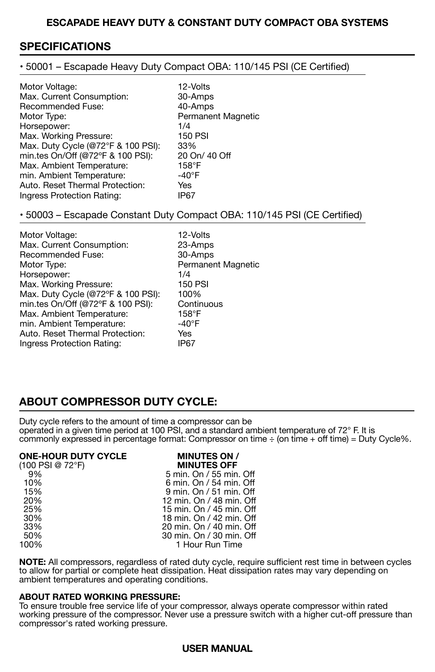# **SPECIFICATIONS**

• 50001 – Escapade Heavy Duty Compact OBA: 110/145 PSI (CE Certified)

| Motor Voltage:                     | 12-Volts                  |
|------------------------------------|---------------------------|
| Max. Current Consumption:          | 30-Amps                   |
| Recommended Fuse:                  | 40-Amps                   |
| Motor Type:                        | <b>Permanent Magnetic</b> |
| Horsepower:                        | 1/4                       |
| Max. Working Pressure:             | <b>150 PSI</b>            |
| Max. Duty Cycle (@72°F & 100 PSI): | 33%                       |
| min.tes On/Off (@72°F & 100 PSI):  | 20 On/ 40 Off             |
| Max. Ambient Temperature:          | 158°F                     |
| min. Ambient Temperature:          | $-40^{\circ}$ F           |
| Auto, Reset Thermal Protection:    | Yes                       |
| Ingress Protection Rating:         | IP67                      |

### • 50003 – Escapade Constant Duty Compact OBA: 110/145 PSI (CE Certified)

| Motor Voltage:                     | 12-Volts           |
|------------------------------------|--------------------|
| Max. Current Consumption:          | 23-Amps            |
| <b>Recommended Fuse:</b>           | 30-Amps            |
| Motor Type:                        | Permanent Magnetic |
| Horsepower:                        | 1/4                |
| Max. Working Pressure:             | <b>150 PSI</b>     |
| Max. Duty Cycle (@72°F & 100 PSI): | 100%               |
| min.tes On/Off (@72°F & 100 PSI):  | Continuous         |
| Max. Ambient Temperature:          | 158°F              |
| min. Ambient Temperature:          | $-40^\circ F$      |
| Auto, Reset Thermal Protection:    | Yes                |
| Ingress Protection Rating:         | IP67               |

# **ABOUT COMPRESSOR DUTY CYCLE:**

Duty cycle refers to the amount of time a compressor can be operated in a given time period at 100 PSI, and a standard ambient temperature of 72° F. It is commonly expressed in percentage format: Compressor on time ÷ (on time + off time) = Duty Cycle%.

### **ONE-HOUR DUTY CYCLE MINUTES ON /<br>(100 PSI @ 72°F) MINUTES OFF** (100 PSI @ 72°F) **MINUTES OFF**

| (100 PSI @ |  |
|------------|--|
| 9%         |  |
| 10%        |  |
| 15%        |  |
| 20%        |  |
| 25%        |  |
| 30%        |  |
| 33%        |  |
| 50%        |  |
| 100%       |  |
|            |  |

9% 5 min. On / 55 min. Off 10% 6 min. On / 54 min. Off 9 min. On / 51 min. Off 12 min. On / 48 min. Off 25% 15 min. On / 45 min. Off 18 min. On / 42 min. Off 33% 20 min. On / 40 min. Off 50% 30 min. On / 30 min. Off 1 Hour Run Time

**NOTE:** All compressors, regardless of rated duty cycle, require sufficient rest time in between cycles to allow for partial or complete heat dissipation. Heat dissipation rates may vary depending on ambient temperatures and operating conditions.

### **ABOUT RATED WORKING PRESSURE:**

To ensure trouble free service life of your compressor, always operate compressor within rated working pressure of the compressor. Never use a pressure switch with a higher cut-off pressure than compressor's rated working pressure.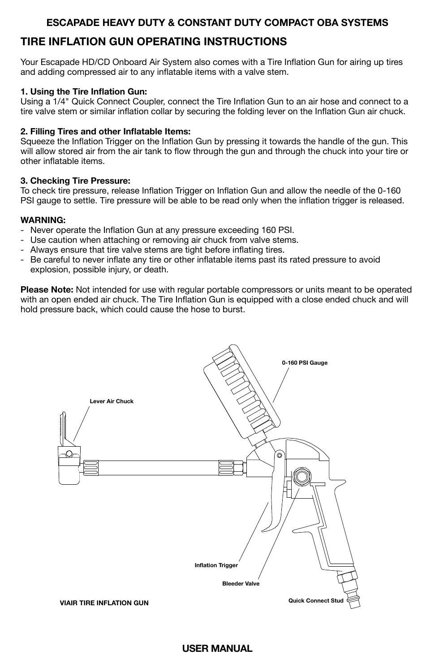# **TIRE INFLATION GUN OPERATING INSTRUCTIONS**

Your Escapade HD/CD Onboard Air System also comes with a Tire Inflation Gun for airing up tires and adding compressed air to any inflatable items with a valve stem.

### **1. Using the Tire Inflation Gun:**

Using a 1/4" Quick Connect Coupler, connect the Tire Inflation Gun to an air hose and connect to a tire valve stem or similar inflation collar by securing the folding lever on the Inflation Gun air chuck.

### **2. Filling Tires and other Inflatable Items:**

Squeeze the Inflation Trigger on the Inflation Gun by pressing it towards the handle of the gun. This will allow stored air from the air tank to flow through the gun and through the chuck into your tire or other inflatable items.

### **3. Checking Tire Pressure:**

To check tire pressure, release Inflation Trigger on Inflation Gun and allow the needle of the 0-160 PSI gauge to settle. Tire pressure will be able to be read only when the inflation trigger is released.

### **WARNING:**

- Never operate the Inflation Gun at any pressure exceeding 160 PSI.
- Use caution when attaching or removing air chuck from valve stems.
- Always ensure that tire valve stems are tight before inflating tires.
- Be careful to never inflate any tire or other inflatable items past its rated pressure to avoid explosion, possible injury, or death.

**Please Note:** Not intended for use with regular portable compressors or units meant to be operated with an open ended air chuck. The Tire Inflation Gun is equipped with a close ended chuck and will hold pressure back, which could cause the hose to burst.

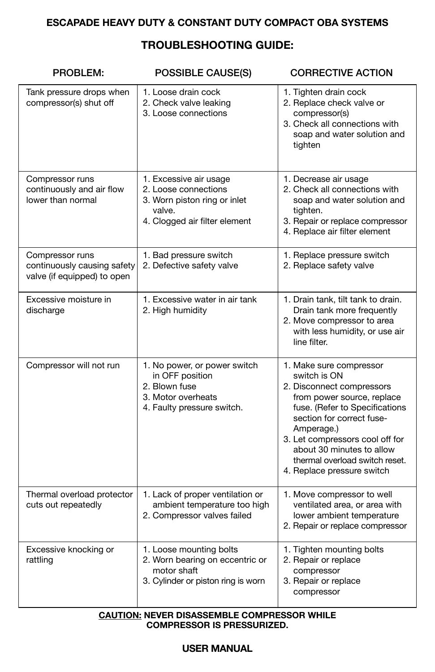# **TROUBLESHOOTING GUIDE:**

| PROBLEM:                                                                      | <b>POSSIBLE CAUSE(S)</b>                                                                                                  | <b>CORRECTIVE ACTION</b>                                                                                                                                                                                                                                                                                        |
|-------------------------------------------------------------------------------|---------------------------------------------------------------------------------------------------------------------------|-----------------------------------------------------------------------------------------------------------------------------------------------------------------------------------------------------------------------------------------------------------------------------------------------------------------|
| Tank pressure drops when<br>compressor(s) shut off                            | 1. Loose drain cock<br>2. Check valve leaking<br>3. Loose connections                                                     | 1. Tighten drain cock<br>2. Replace check valve or<br>compressor(s)<br>3. Check all connections with<br>soap and water solution and<br>tighten                                                                                                                                                                  |
| Compressor runs<br>continuously and air flow<br>lower than normal             | 1. Excessive air usage<br>2. Loose connections<br>3. Worn piston ring or inlet<br>valve.<br>4. Clogged air filter element | 1. Decrease air usage<br>2. Check all connections with<br>soap and water solution and<br>tighten.<br>3. Repair or replace compressor<br>4. Replace air filter element                                                                                                                                           |
| Compressor runs<br>continuously causing safety<br>valve (if equipped) to open | 1. Bad pressure switch<br>2. Defective safety valve                                                                       | 1. Replace pressure switch<br>2. Replace safety valve                                                                                                                                                                                                                                                           |
| Excessive moisture in<br>discharge                                            | 1. Excessive water in air tank<br>2. High humidity                                                                        | 1. Drain tank, tilt tank to drain.<br>Drain tank more frequently<br>2. Move compressor to area<br>with less humidity, or use air<br>line filter.                                                                                                                                                                |
| Compressor will not run                                                       | 1. No power, or power switch<br>in OFF position<br>2. Blown fuse<br>3. Motor overheats<br>4. Faulty pressure switch.      | 1. Make sure compressor<br>switch is ON<br>2. Disconnect compressors<br>from power source, replace<br>fuse. (Refer to Specifications<br>section for correct fuse-<br>Amperage.)<br>3. Let compressors cool off for<br>about 30 minutes to allow<br>thermal overload switch reset.<br>4. Replace pressure switch |
| Thermal overload protector<br>cuts out repeatedly                             | 1. Lack of proper ventilation or<br>ambient temperature too high<br>2. Compressor valves failed                           | 1. Move compressor to well<br>ventilated area, or area with<br>lower ambient temperature<br>2. Repair or replace compressor                                                                                                                                                                                     |
| Excessive knocking or<br>rattling                                             | 1. Loose mounting bolts<br>2. Worn bearing on eccentric or<br>motor shaft<br>3. Cylinder or piston ring is worn           | 1. Tighten mounting bolts<br>2. Repair or replace<br>compressor<br>3. Repair or replace<br>compressor                                                                                                                                                                                                           |

### **CAUTION: NEVER DISASSEMBLE COMPRESSOR WHILE COMPRESSOR IS PRESSURIZED.**